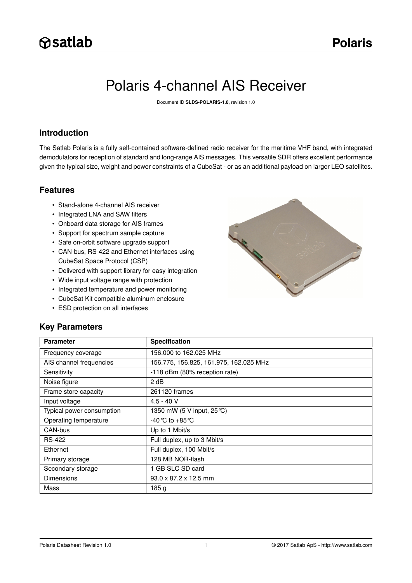# Polaris 4-channel AIS Receiver

Document ID **SLDS-POLARIS-1.0**, revision 1.0

### **Introduction**

The Satlab Polaris is a fully self-contained software-defined radio receiver for the maritime VHF band, with integrated demodulators for reception of standard and long-range AIS messages. This versatile SDR offers excellent performance given the typical size, weight and power constraints of a CubeSat - or as an additional payload on larger LEO satellites.

### **Features**

- Stand-alone 4-channel AIS receiver
- Integrated LNA and SAW filters
- Onboard data storage for AIS frames
- Support for spectrum sample capture
- Safe on-orbit software upgrade support
- CAN-bus, RS-422 and Ethernet interfaces using CubeSat Space Protocol (CSP)
- Delivered with support library for easy integration
- Wide input voltage range with protection
- Integrated temperature and power monitoring
- CubeSat Kit compatible aluminum enclosure
- ESD protection on all interfaces



### **Key Parameters**

| <b>Parameter</b>          | <b>Specification</b>                   |
|---------------------------|----------------------------------------|
| Frequency coverage        | 156.000 to 162.025 MHz                 |
| AIS channel frequencies   | 156.775, 156.825, 161.975, 162.025 MHz |
| Sensitivity               | -118 dBm (80% reception rate)          |
| Noise figure              | 2 dB                                   |
| Frame store capacity      | 261120 frames                          |
| Input voltage             | $4.5 - 40$ V                           |
| Typical power consumption | 1350 mW (5 V input, 25 °C)             |
| Operating temperature     | $-40^{\circ}$ C to $+85^{\circ}$ C     |
| CAN-bus                   | Up to 1 Mbit/s                         |
| <b>RS-422</b>             | Full duplex, up to 3 Mbit/s            |
| Ethernet                  | Full duplex, 100 Mbit/s                |
| Primary storage           | 128 MB NOR-flash                       |
| Secondary storage         | 1 GB SLC SD card                       |
| <b>Dimensions</b>         | $93.0 \times 87.2 \times 12.5$ mm      |
| Mass                      | 185 <sub>g</sub>                       |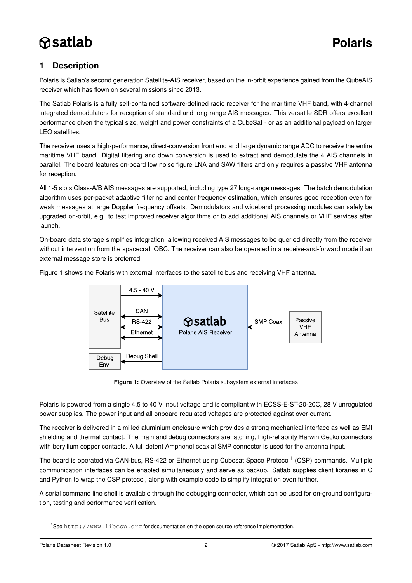# <span id="page-1-2"></span>**1 Description**

Polaris is Satlab's second generation Satellite-AIS receiver, based on the in-orbit experience gained from the QubeAIS receiver which has flown on several missions since 2013.

The Satlab Polaris is a fully self-contained software-defined radio receiver for the maritime VHF band, with 4-channel integrated demodulators for reception of standard and long-range AIS messages. This versatile SDR offers excellent performance given the typical size, weight and power constraints of a CubeSat - or as an additional payload on larger LEO satellites.

The receiver uses a high-performance, direct-conversion front end and large dynamic range ADC to receive the entire maritime VHF band. Digital filtering and down conversion is used to extract and demodulate the 4 AIS channels in parallel. The board features on-board low noise figure LNA and SAW filters and only requires a passive VHF antenna for reception.

All 1-5 slots Class-A/B AIS messages are supported, including type 27 long-range messages. The batch demodulation algorithm uses per-packet adaptive filtering and center frequency estimation, which ensures good reception even for weak messages at large Doppler frequency offsets. Demodulators and wideband processing modules can safely be upgraded on-orbit, e.g. to test improved receiver algorithms or to add additional AIS channels or VHF services after launch.

On-board data storage simplifies integration, allowing received AIS messages to be queried directly from the receiver without intervention from the spacecraft OBC. The receiver can also be operated in a receive-and-forward mode if an external message store is preferred.

Figure [1](#page-1-0) shows the Polaris with external interfaces to the satellite bus and receiving VHF antenna.



<span id="page-1-0"></span>**Figure 1:** Overview of the Satlab Polaris subsystem external interfaces

Polaris is powered from a single 4.5 to 40 V input voltage and is compliant with ECSS-E-ST-20-20C, 28 V unregulated power supplies. The power input and all onboard regulated voltages are protected against over-current.

The receiver is delivered in a milled aluminium enclosure which provides a strong mechanical interface as well as EMI shielding and thermal contact. The main and debug connectors are latching, high-reliability Harwin Gecko connectors with beryllium copper contacts. A full detent Amphenol coaxial SMP connector is used for the antenna input.

The board is operated via CAN-bus, RS-422 or Ethernet using Cubesat Space Protocol<sup>[1](#page-1-1)</sup> (CSP) commands. Multiple communication interfaces can be enabled simultaneously and serve as backup. Satlab supplies client libraries in C and Python to wrap the CSP protocol, along with example code to simplify integration even further.

A serial command line shell is available through the debugging connector, which can be used for on-ground configuration, testing and performance verification.

<span id="page-1-1"></span><sup>1</sup>See <http://www.libcsp.org> for documentation on the open source reference implementation.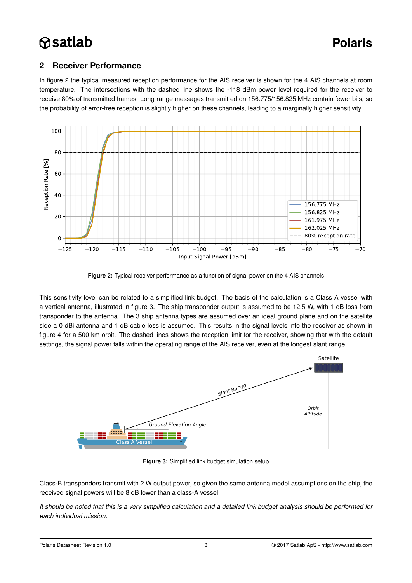### <span id="page-2-2"></span>**2 Receiver Performance**

In figure [2](#page-2-0) the typical measured reception performance for the AIS receiver is shown for the 4 AIS channels at room temperature. The intersections with the dashed line shows the -118 dBm power level required for the receiver to receive 80% of transmitted frames. Long-range messages transmitted on 156.775/156.825 MHz contain fewer bits, so the probability of error-free reception is slightly higher on these channels, leading to a marginally higher sensitivity.



<span id="page-2-0"></span>**Figure 2:** Typical receiver performance as a function of signal power on the 4 AIS channels

This sensitivity level can be related to a simplified link budget. The basis of the calculation is a Class A vessel with a vertical antenna, illustrated in figure [3.](#page-2-1) The ship transponder output is assumed to be 12.5 W, with 1 dB loss from transponder to the antenna. The 3 ship antenna types are assumed over an ideal ground plane and on the satellite side a 0 dBi antenna and 1 dB cable loss is assumed. This results in the signal levels into the receiver as shown in figure [4](#page-3-0) for a 500 km orbit. The dashed lines shows the reception limit for the receiver, showing that with the default settings, the signal power falls within the operating range of the AIS receiver, even at the longest slant range.



<span id="page-2-1"></span>**Figure 3:** Simplified link budget simulation setup

Class-B transponders transmit with 2 W output power, so given the same antenna model assumptions on the ship, the received signal powers will be 8 dB lower than a class-A vessel.

*It should be noted that this is a very simplified calculation and a detailed link budget analysis should be performed for each individual mission.*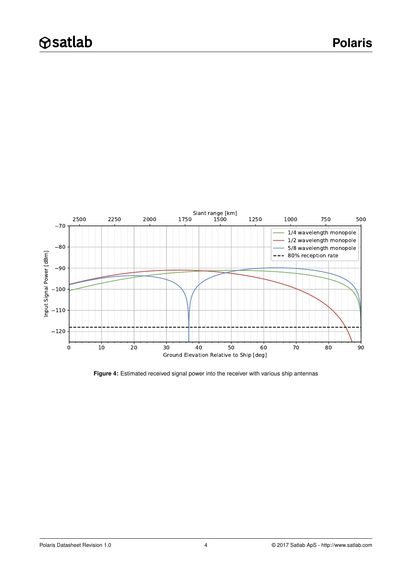

<span id="page-3-0"></span>**Figure 4:** Estimated received signal power into the receiver with various ship antennas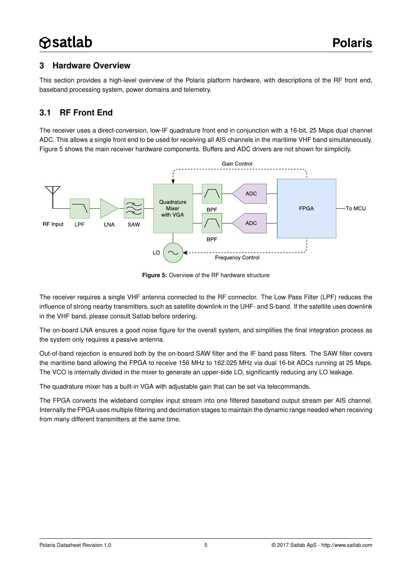### <span id="page-4-1"></span>**3 Hardware Overview**

This section provides a high-level overview of the Polaris platform hardware, with descriptions of the RF front end, baseband processing system, power domains and telemetry.

# <span id="page-4-2"></span>**3.1 RF Front End**

The receiver uses a direct-conversion, low-IF quadrature front end in conjunction with a 16-bit, 25 Msps dual channel ADC. This allows a single front end to be used for receiving all AIS channels in the maritime VHF band simultaneously. Figure [5](#page-4-0) shows the main receiver hardware components. Buffers and ADC drivers are not shown for simplicity.



<span id="page-4-0"></span>**Figure 5:** Overview of the RF hardware structure

The receiver requires a single VHF antenna connected to the RF connector. The Low Pass Filter (LPF) reduces the influence of strong nearby transmitters, such as satellite downlink in the UHF- and S-band. If the satellite uses downlink in the VHF band, please consult Satlab before ordering.

The on-board LNA ensures a good noise figure for the overall system, and simplifies the final integration process as the system only requires a passive antenna.

Out-of-band rejection is ensured both by the on-board SAW filter and the IF band pass filters. The SAW filter covers the maritime band allowing the FPGA to receive 156 MHz to 162.025 MHz via dual 16-bit ADCs running at 25 Msps. The VCO is internally divided in the mixer to generate an upper-side LO, significantly reducing any LO leakage.

The quadrature mixer has a built-in VGA with adjustable gain that can be set via telecommands.

The FPGA converts the wideband complex input stream into one filtered baseband output stream per AIS channel. Internally the FPGA uses multiple filtering and decimation stages to maintain the dynamic range needed when receiving from many different transmitters at the same time.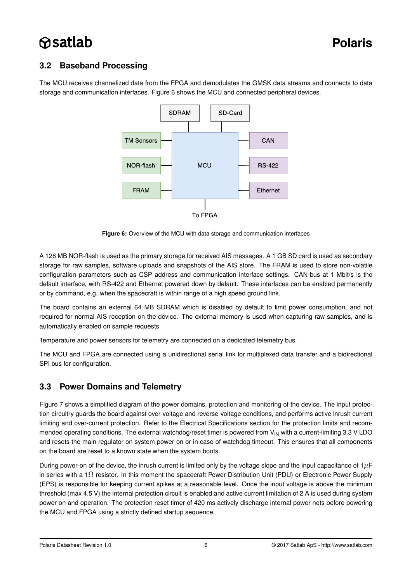### <span id="page-5-1"></span>**3.2 Baseband Processing**

The MCU receives channelized data from the FPGA and demodulates the GMSK data streams and connects to data storage and communication interfaces. Figure [6](#page-5-0) shows the MCU and connected peripheral devices.



<span id="page-5-0"></span>**Figure 6:** Overview of the MCU with data storage and communication interfaces

A 128 MB NOR-flash is used as the primary storage for received AIS messages. A 1 GB SD card is used as secondary storage for raw samples, software uploads and snapshots of the AIS store. The FRAM is used to store non-volatile configuration parameters such as CSP address and communication interface settings. CAN-bus at 1 Mbit/s is the default interface, with RS-422 and Ethernet powered down by default. These interfaces can be enabled permanently or by command, e.g. when the spacecraft is within range of a high speed ground link.

The board contains an external 64 MB SDRAM which is disabled by default to limit power consumption, and not required for normal AIS reception on the device. The external memory is used when capturing raw samples, and is automatically enabled on sample requests.

Temperature and power sensors for telemetry are connected on a dedicated telemetry bus.

The MCU and FPGA are connected using a unidirectional serial link for multiplexed data transfer and a bidirectional SPI bus for configuration.

### <span id="page-5-2"></span>**3.3 Power Domains and Telemetry**

Figure [7](#page-6-0) shows a simplified diagram of the power domains, protection and monitoring of the device. The input protection circuitry guards the board against over-voltage and reverse-voltage conditions, and performs active inrush current limiting and over-current protection. Refer to the [Electrical Specifications](#page-13-0) section for the protection limits and recommended operating conditions. The external watchdog/reset timer is powered from  $V_{IN}$  with a current-limiting 3.3 V LDO and resets the main regulator on system power-on or in case of watchdog timeout. This ensures that all components on the board are reset to a known state when the system boots.

During power-on of the device, the inrush current is limited only by the voltage slope and the input capacitance of  $1\mu$ F in series with a 1 $\Omega$  resistor. In this moment the spacecraft Power Distribution Unit (PDU) or Electronic Power Supply (EPS) is responsible for keeping current spikes at a reasonable level. Once the input voltage is above the minimum threshold (max 4.5 V) the internal protection circuit is enabled and active current limitation of 2 A is used during system power on and operation. The protection reset timer of 420 ms actively discharge internal power nets before powering the MCU and FPGA using a strictly defined startup sequence.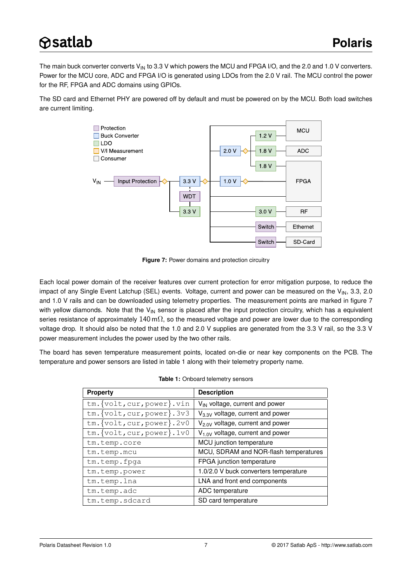The main buck converter converts  $V_{IN}$  to 3.3 V which powers the MCU and FPGA I/O, and the 2.0 and 1.0 V converters. Power for the MCU core, ADC and FPGA I/O is generated using LDOs from the 2.0 V rail. The MCU control the power for the RF, FPGA and ADC domains using GPIOs.

The SD card and Ethernet PHY are powered off by default and must be powered on by the MCU. Both load switches are current limiting.



<span id="page-6-0"></span>**Figure 7:** Power domains and protection circuitry

Each local power domain of the receiver features over current protection for error mitigation purpose, to reduce the impact of any Single Event Latchup (SEL) events. Voltage, current and power can be measured on the  $V_{IN}$ , 3.3, 2.0 and 1.0 V rails and can be downloaded using telemetry properties. The measurement points are marked in figure [7](#page-6-0) with yellow diamonds. Note that the  $V_{IN}$  sensor is placed after the input protection circuitry, which has a equivalent series resistance of approximately  $140$  m $\Omega$ , so the measured voltage and power are lower due to the corresponding voltage drop. It should also be noted that the 1.0 and 2.0 V supplies are generated from the 3.3 V rail, so the 3.3 V power measurement includes the power used by the two other rails.

<span id="page-6-1"></span>The board has seven temperature measurement points, located on-die or near key components on the PCB. The temperature and power sensors are listed in table [1](#page-6-1) along with their telemetry property name.

| <b>Property</b>                 | <b>Description</b>                         |
|---------------------------------|--------------------------------------------|
| tm. {volt, cur, power}. vin     | V <sub>IN</sub> voltage, current and power |
| $tm.\{volt, cur, power\}.3v3$   | $V_{3.3V}$ voltage, current and power      |
| $tm.\{volt, cur, power\}.2v0$   | $V_{2.0V}$ voltage, current and power      |
| $tm.\{volt, cur, power\}$ . 1v0 | $V_{1.0V}$ voltage, current and power      |
| tm.temp.core                    | MCU junction temperature                   |
| tm.temp.mcu                     | MCU, SDRAM and NOR-flash temperatures      |
| tm.temp.fpga                    | FPGA junction temperature                  |
| tm.temp.power                   | 1.0/2.0 V buck converters temperature      |
| tm.temp.lna                     | LNA and front end components               |
| tm.temp.adc                     | ADC temperature                            |
| tm.temp.sdcard                  | SD card temperature                        |

|  | Table 1: Onboard telemetry sensors |  |
|--|------------------------------------|--|
|  |                                    |  |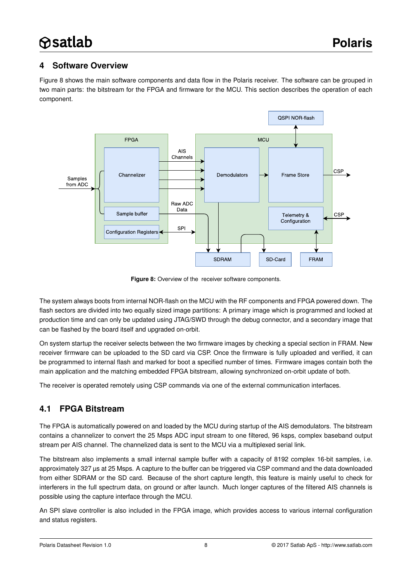### <span id="page-7-1"></span>**4 Software Overview**

Figure [8](#page-7-0) shows the main software components and data flow in the Polaris receiver. The software can be grouped in two main parts: the bitstream for the FPGA and firmware for the MCU. This section describes the operation of each component.



<span id="page-7-0"></span>**Figure 8:** Overview of the receiver software components.

The system always boots from internal NOR-flash on the MCU with the RF components and FPGA powered down. The flash sectors are divided into two equally sized image partitions: A primary image which is programmed and locked at production time and can only be updated using JTAG/SWD through the debug connector, and a secondary image that can be flashed by the board itself and upgraded on-orbit.

On system startup the receiver selects between the two firmware images by checking a special section in FRAM. New receiver firmware can be uploaded to the SD card via CSP. Once the firmware is fully uploaded and verified, it can be programmed to internal flash and marked for boot a specified number of times. Firmware images contain both the main application and the matching embedded FPGA bitstream, allowing synchronized on-orbit update of both.

The receiver is operated remotely using CSP commands via one of the external communication interfaces.

# <span id="page-7-2"></span>**4.1 FPGA Bitstream**

The FPGA is automatically powered on and loaded by the MCU during startup of the AIS demodulators. The bitstream contains a channelizer to convert the 25 Msps ADC input stream to one filtered, 96 ksps, complex baseband output stream per AIS channel. The channelized data is sent to the MCU via a multiplexed serial link.

The bitstream also implements a small internal sample buffer with a capacity of 8192 complex 16-bit samples, i.e. approximately 327 µs at 25 Msps. A capture to the buffer can be triggered via CSP command and the data downloaded from either SDRAM or the SD card. Because of the short capture length, this feature is mainly useful to check for interferers in the full spectrum data, on ground or after launch. Much longer captures of the filtered AIS channels is possible using the capture interface through the MCU.

An SPI slave controller is also included in the FPGA image, which provides access to various internal configuration and status registers.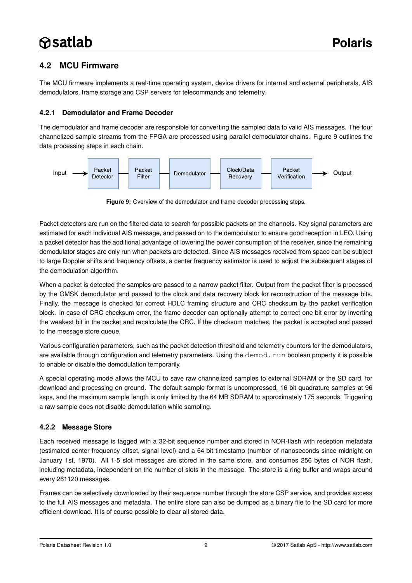### <span id="page-8-1"></span>**4.2 MCU Firmware**

The MCU firmware implements a real-time operating system, device drivers for internal and external peripherals, AIS demodulators, frame storage and CSP servers for telecommands and telemetry.

#### <span id="page-8-2"></span>**4.2.1 Demodulator and Frame Decoder**

The demodulator and frame decoder are responsible for converting the sampled data to valid AIS messages. The four channelized sample streams from the FPGA are processed using parallel demodulator chains. Figure [9](#page-8-0) outlines the data processing steps in each chain.



<span id="page-8-0"></span>**Figure 9:** Overview of the demodulator and frame decoder processing steps.

Packet detectors are run on the filtered data to search for possible packets on the channels. Key signal parameters are estimated for each individual AIS message, and passed on to the demodulator to ensure good reception in LEO. Using a packet detector has the additional advantage of lowering the power consumption of the receiver, since the remaining demodulator stages are only run when packets are detected. Since AIS messages received from space can be subject to large Doppler shifts and frequency offsets, a center frequency estimator is used to adjust the subsequent stages of the demodulation algorithm.

When a packet is detected the samples are passed to a narrow packet filter. Output from the packet filter is processed by the GMSK demodulator and passed to the clock and data recovery block for reconstruction of the message bits. Finally, the message is checked for correct HDLC framing structure and CRC checksum by the packet verification block. In case of CRC checksum error, the frame decoder can optionally attempt to correct one bit error by inverting the weakest bit in the packet and recalculate the CRC. If the checksum matches, the packet is accepted and passed to the message store queue.

Various configuration parameters, such as the packet detection threshold and telemetry counters for the demodulators, are available through configuration and telemetry parameters. Using the demod.run boolean property it is possible to enable or disable the demodulation temporarily.

A special operating mode allows the MCU to save raw channelized samples to external SDRAM or the SD card, for download and processing on ground. The default sample format is uncompressed, 16-bit quadrature samples at 96 ksps, and the maximum sample length is only limited by the 64 MB SDRAM to approximately 175 seconds. Triggering a raw sample does not disable demodulation while sampling.

#### <span id="page-8-3"></span>**4.2.2 Message Store**

Each received message is tagged with a 32-bit sequence number and stored in NOR-flash with reception metadata (estimated center frequency offset, signal level) and a 64-bit timestamp (number of nanoseconds since midnight on January 1st, 1970). All 1-5 slot messages are stored in the same store, and consumes 256 bytes of NOR flash, including metadata, independent on the number of slots in the message. The store is a ring buffer and wraps around every 261120 messages.

Frames can be selectively downloaded by their sequence number through the store CSP service, and provides access to the full AIS messages and metadata. The entire store can also be dumped as a binary file to the SD card for more efficient download. It is of course possible to clear all stored data.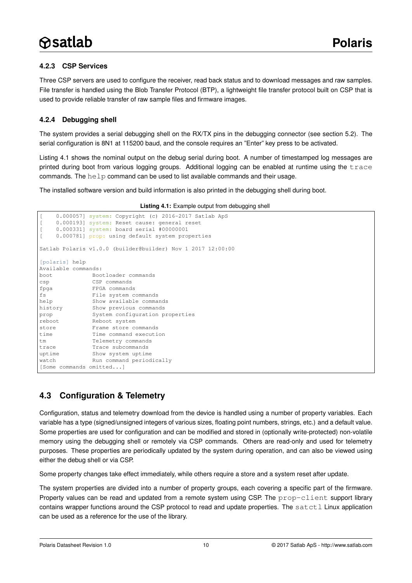#### <span id="page-9-1"></span>**4.2.3 CSP Services**

Three CSP servers are used to configure the receiver, read back status and to download messages and raw samples. File transfer is handled using the Blob Transfer Protocol (BTP), a lightweight file transfer protocol built on CSP that is used to provide reliable transfer of raw sample files and firmware images.

#### <span id="page-9-2"></span>**4.2.4 Debugging shell**

The system provides a serial debugging shell on the RX/TX pins in the debugging connector (see section [5.2\)](#page-12-0). The serial configuration is 8N1 at 115200 baud, and the console requires an "Enter" key press to be activated.

Listing [4.1](#page-9-0) shows the nominal output on the debug serial during boot. A number of timestamped log messages are printed during boot from various logging groups. Additional logging can be enabled at runtime using the trace commands. The  $he1p$  command can be used to list available commands and their usage.

<span id="page-9-0"></span>The installed software version and build information is also printed in the debugging shell during boot.

```
0.000057] system: Copyright (c) 2016-2017 Satlab ApS
    0.000193] system: Reset cause: general reset
[ 0.000331] system: board serial #00000001
    0.000781] prop: using default system properties
Satlab Polaris v1.0.0 (builder@builder) Nov 1 2017 12:00:00
[polaris] help
Available commands:
boot Bootloader commands
csp CSP commands
fpga FPGA commands
fs File system commands
help Show available commands
history Show previous commands
prop System configuration properties
reboot Reboot system
store Frame store commands
time Time command execution
tm Telemetry commands
trace Trace subcommands
uptime Show system uptime
watch Run command periodically
[Some commands omitted...]
```
### <span id="page-9-3"></span>**4.3 Configuration & Telemetry**

Configuration, status and telemetry download from the device is handled using a number of property variables. Each variable has a type (signed/unsigned integers of various sizes, floating point numbers, strings, etc.) and a default value. Some properties are used for configuration and can be modified and stored in (optionally write-protected) non-volatile memory using the debugging shell or remotely via CSP commands. Others are read-only and used for telemetry purposes. These properties are periodically updated by the system during operation, and can also be viewed using either the debug shell or via CSP.

Some property changes take effect immediately, while others require a store and a system reset after update.

The system properties are divided into a number of property groups, each covering a specific part of the firmware. Property values can be read and updated from a remote system using CSP. The prop-client support library contains wrapper functions around the CSP protocol to read and update properties. The  $satct1$  Linux application can be used as a reference for the use of the library.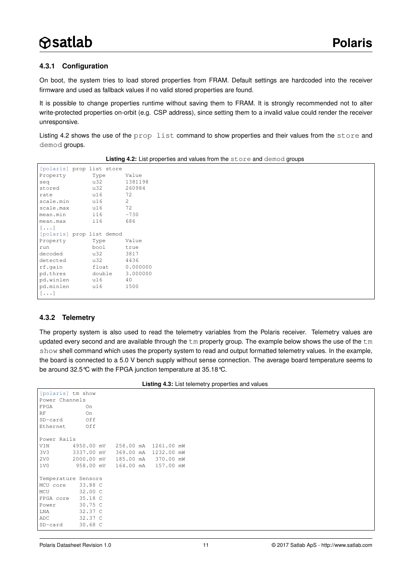#### <span id="page-10-1"></span>**4.3.1 Configuration**

On boot, the system tries to load stored properties from FRAM. Default settings are hardcoded into the receiver firmware and used as fallback values if no valid stored properties are found.

It is possible to change properties runtime without saving them to FRAM. It is strongly recommended not to alter write-protected properties on-orbit (e.g. CSP address), since setting them to a invalid value could render the receiver unresponsive.

Listing [4.2](#page-10-0) shows the use of the prop list command to show properties and their values from the store and demod groups.

<span id="page-10-0"></span>

| [polaris] prop list store |        |                |
|---------------------------|--------|----------------|
| Property                  | Type   | Value          |
| seq                       | u32    | 1381198        |
| stored                    | u32    | 260984         |
| rate                      | u16    | 72             |
| scale.min                 | u16    | $\overline{2}$ |
| scale.max                 | u16    | 72             |
| mean.min                  | i16    | $-730$         |
| mean.max                  | i16    | 686            |
| $[\ldots]$                |        |                |
| [polaris] prop list demod |        |                |
| Property                  | Type   | Value          |
| run                       | bool   | true           |
| decoded                   | u32    | 3817           |
| detected                  | u32    | 4436           |
| rf.qain                   | float  | 0.000000       |
| pd.thres                  | double | 3.000000       |
| pd.winlen                 | u16    | 40             |
| pd.minlen                 | u16    | 1500           |
| $[\ldots]$                |        |                |

**Listing 4.2:** List properties and values from the store and demod groups

#### <span id="page-10-2"></span>**4.3.2 Telemetry**

The property system is also used to read the telemetry variables from the Polaris receiver. Telemetry values are updated every second and are available through the  $t_m$  property group. The example below shows the use of the  $t_m$ show shell command which uses the property system to read and output formatted telemetry values. In the example, the board is connected to a 5.0 V bench supply without sense connection. The average board temperature seems to be around 32.5°C with the FPGA junction temperature at 35.18°C.

|  | Listing 4.3: List telemetry properties and values |  |
|--|---------------------------------------------------|--|
|--|---------------------------------------------------|--|

| [polaris] tm show   |           |  |                                 |  |
|---------------------|-----------|--|---------------------------------|--|
| Power Channels      |           |  |                                 |  |
| FPGA                | On        |  |                                 |  |
| RF                  | On        |  |                                 |  |
| SD-card             | Off       |  |                                 |  |
| Ethernet            | Off       |  |                                 |  |
|                     |           |  |                                 |  |
| Power Rails         |           |  |                                 |  |
| VIN                 |           |  | 4950.00 mV 258.00 mA 1261.00 mW |  |
| 3V3                 |           |  | 3337.00 mV 369.00 mA 1232.00 mW |  |
| 2 <sub>V</sub> 0    |           |  | 2000.00 mV 185.00 mA 370.00 mW  |  |
| 1V0                 | 958.00 mV |  | 164.00 mA 157.00 mW             |  |
|                     |           |  |                                 |  |
| Temperature Sensors |           |  |                                 |  |
| MCU core 33.88 C    |           |  |                                 |  |
| MCU                 | 32.00 C   |  |                                 |  |
| FPGA core 35.18 C   |           |  |                                 |  |
| Power               | 30.75 C   |  |                                 |  |
| LNA                 | 32.37 C   |  |                                 |  |
| ADC                 | 32.37 C   |  |                                 |  |
| SD-card             | 30.68C    |  |                                 |  |
|                     |           |  |                                 |  |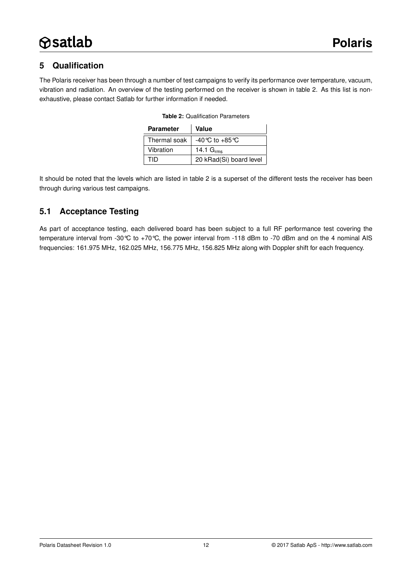# <span id="page-11-1"></span>**5 Qualification**

<span id="page-11-0"></span>The Polaris receiver has been through a number of test campaigns to verify its performance over temperature, vacuum, vibration and radiation. An overview of the testing performed on the receiver is shown in table [2.](#page-11-0) As this list is nonexhaustive, please contact Satlab for further information if needed.

| <b>Parameter</b> | Value                              |
|------------------|------------------------------------|
| Thermal soak     | $-40^{\circ}$ C to $+85^{\circ}$ C |
| Vibration        | 14.1 $Grms$                        |
| חוד              | 20 kRad(Si) board level            |

|  | <b>Table 2: Qualification Parameters</b> |  |
|--|------------------------------------------|--|
|--|------------------------------------------|--|

It should be noted that the levels which are listed in table [2](#page-11-0) is a superset of the different tests the receiver has been through during various test campaigns.

### <span id="page-11-2"></span>**5.1 Acceptance Testing**

As part of acceptance testing, each delivered board has been subject to a full RF performance test covering the temperature interval from -30°C to +70°C, the power interval from -118 dBm to -70 dBm and on the 4 nominal AIS frequencies: 161.975 MHz, 162.025 MHz, 156.775 MHz, 156.825 MHz along with Doppler shift for each frequency.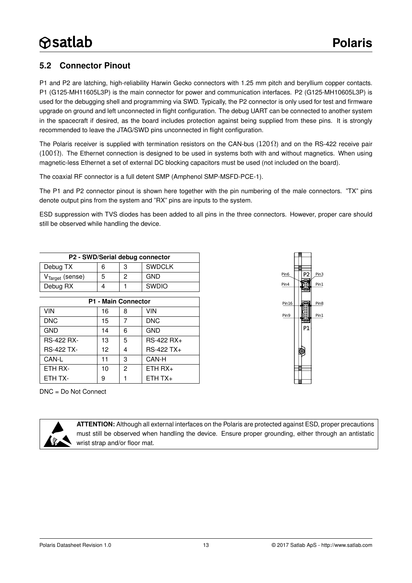# <span id="page-12-0"></span>**5.2 Connector Pinout**

P1 and P2 are latching, high-reliability Harwin Gecko connectors with 1.25 mm pitch and beryllium copper contacts. P1 (G125-MH11605L3P) is the main connector for power and communication interfaces. P2 (G125-MH10605L3P) is used for the debugging shell and programming via SWD. Typically, the P2 connector is only used for test and firmware upgrade on ground and left unconnected in flight configuration. The debug UART can be connected to another system in the spacecraft if desired, as the board includes protection against being supplied from these pins. It is strongly recommended to leave the JTAG/SWD pins unconnected in flight configuration.

The Polaris receiver is supplied with termination resistors on the CAN-bus ( $120 \Omega$ ) and on the RS-422 receive pair (100 $\Omega$ ). The Ethernet connection is designed to be used in systems both with and without magnetics. When using magnetic-less Ethernet a set of external DC blocking capacitors must be used (not included on the board).

The coaxial RF connector is a full detent SMP (Amphenol SMP-MSFD-PCE-1).

The P1 and P2 connector pinout is shown here together with the pin numbering of the male connectors. "TX" pins denote output pins from the system and "RX" pins are inputs to the system.

ESD suppression with TVS diodes has been added to all pins in the three connectors. However, proper care should still be observed while handling the device.

| P2 - SWD/Serial debug connector |   |  |     |  |  |  |
|---------------------------------|---|--|-----|--|--|--|
| <b>SWDCLK</b><br>Debug TX<br>6  |   |  |     |  |  |  |
| $VTarget$ (sense)               | 5 |  | GND |  |  |  |
| <b>SWDIO</b><br>Debug RX        |   |  |     |  |  |  |

| <b>P1 - Main Connector</b> |    |                |            |  |  |  |
|----------------------------|----|----------------|------------|--|--|--|
| VIN                        | 16 | 8              | VIN        |  |  |  |
| <b>DNC</b>                 | 15 |                | <b>DNC</b> |  |  |  |
| <b>GND</b>                 | 14 | 6              | <b>GND</b> |  |  |  |
| <b>RS-422 RX-</b>          | 13 | 5              | RS-422 RX+ |  |  |  |
| <b>RS-422 TX-</b>          | 12 | 4              | RS-422 TX+ |  |  |  |
| CAN-L                      | 11 | 3              | CAN-H      |  |  |  |
| ETH RX-                    | 10 | $\mathfrak{p}$ | $ETH RX+$  |  |  |  |
| ETH TX-                    | 9  |                | $ETHTX+$   |  |  |  |

DNC = Do Not Connect





**ATTENTION:** Although all external interfaces on the Polaris are protected against ESD, proper precautions must still be observed when handling the device. Ensure proper grounding, either through an antistatic wrist strap and/or floor mat.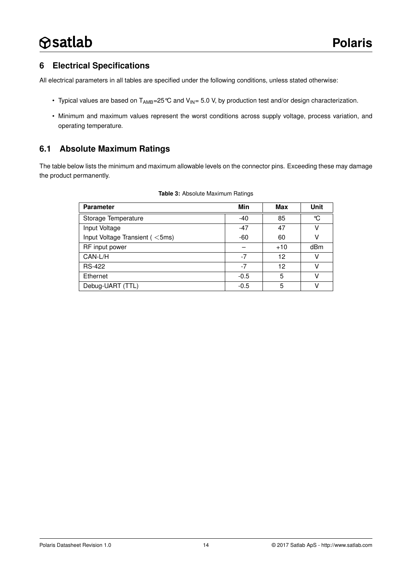### <span id="page-13-0"></span>**6 Electrical Specifications**

All electrical parameters in all tables are specified under the following conditions, unless stated otherwise:

- Typical values are based on  $T_{AMB}$ =25 °C and  $V_{IN}$ = 5.0 V, by production test and/or design characterization.
- Minimum and maximum values represent the worst conditions across supply voltage, process variation, and operating temperature.

### <span id="page-13-1"></span>**6.1 Absolute Maximum Ratings**

The table below lists the minimum and maximum allowable levels on the connector pins. Exceeding these may damage the product permanently.

| <b>Parameter</b>               | Min    | Max   | <b>Unit</b> |
|--------------------------------|--------|-------|-------------|
| Storage Temperature            | $-40$  | 85    | °C          |
| Input Voltage                  | $-47$  | 47    | ν           |
| Input Voltage Transient (<5ms) | -60    | 60    | ν           |
| RF input power                 |        | $+10$ | dBm         |
| CAN-L/H                        | $-7$   | 12    | ν           |
| <b>RS-422</b>                  | $-7$   | 12    | ν           |
| Ethernet                       | $-0.5$ | 5     | ν           |
| Debug-UART (TTL)               | $-0.5$ | 5     | ν           |

#### **Table 3:** Absolute Maximum Ratings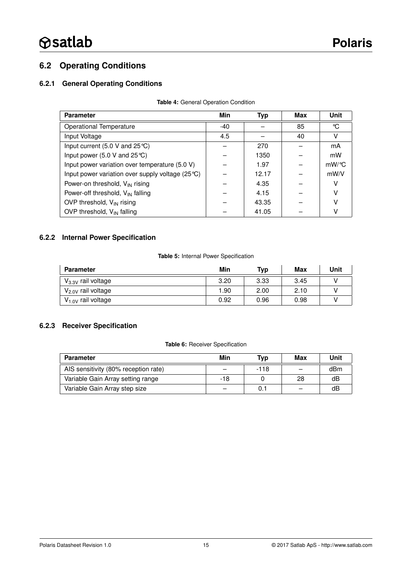# <span id="page-14-0"></span>**6.2 Operating Conditions**

#### <span id="page-14-1"></span>**6.2.1 General Operating Conditions**

| <b>Parameter</b>                                                 | Min | <b>Typ</b> | Max | Unit     |
|------------------------------------------------------------------|-----|------------|-----|----------|
| Operational Temperature                                          | -40 |            | 85  | °C       |
| Input Voltage                                                    | 4.5 |            | 40  | v        |
| Input current $(5.0 V and 25°C)$                                 |     | 270        |     | mA       |
| Input power (5.0 V and $25^{\circ}$ C)                           |     | 1350       |     | mW       |
| Input power variation over temperature (5.0 V)                   |     | 1.97       |     | $mW$ /°C |
| Input power variation over supply voltage $(25^{\circ}\text{C})$ |     | 12.17      |     | mW/V     |
| Power-on threshold, V <sub>IN</sub> rising                       |     | 4.35       |     | ν        |
| Power-off threshold, $V_{IN}$ falling                            |     | 4.15       |     | v        |
| OVP threshold, $V_{IN}$ rising                                   |     | 43.35      |     | ν        |
| OVP threshold, $V_{IN}$ falling                                  |     | 41.05      |     | ٧        |

#### **Table 4:** General Operation Condition

#### <span id="page-14-2"></span>**6.2.2 Internal Power Specification**

#### **Table 5:** Internal Power Specification

| <b>Parameter</b>        | Min  | Typ  | Max  | Unit |
|-------------------------|------|------|------|------|
| $V_{3.3V}$ rail voltage | 3.20 | 3.33 | 3.45 |      |
| $V_{2.0V}$ rail voltage | 1.90 | 2.00 | 2.10 |      |
| $V_{1.0V}$ rail voltage | 0.92 | 0.96 | 0.98 |      |

#### <span id="page-14-3"></span>**6.2.3 Receiver Specification**

#### **Table 6:** Receiver Specification

| <b>Parameter</b>                     | Min                      | Tvp    | Max | Unit |
|--------------------------------------|--------------------------|--------|-----|------|
| AIS sensitivity (80% reception rate) | $\overline{\phantom{0}}$ | $-118$ |     | dBm  |
| Variable Gain Array setting range    | -18                      |        | 28  | dB   |
| Variable Gain Array step size        |                          |        |     | dB   |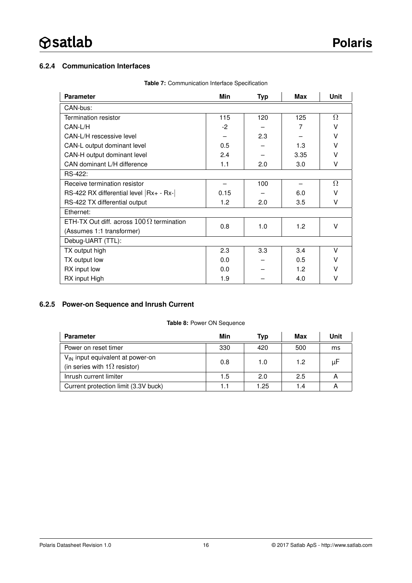#### <span id="page-15-0"></span>**6.2.4 Communication Interfaces**

| <b>Parameter</b>                                  | Min               | <b>Typ</b> | <b>Max</b> | Unit   |  |
|---------------------------------------------------|-------------------|------------|------------|--------|--|
| CAN-bus:                                          |                   |            |            |        |  |
| <b>Termination resistor</b>                       | 115<br>120<br>125 |            |            |        |  |
| CAN-L/H                                           | $-2$              |            | 7          | v      |  |
| CAN-L/H rescessive level                          |                   | 2.3        |            | V      |  |
| CAN-L output dominant level                       | 0.5               |            | 1.3        | v      |  |
| CAN-H output dominant level                       | 2.4               |            | 3.35       | $\vee$ |  |
| CAN dominant L/H difference                       | 1.1<br>2.0        |            |            | v      |  |
| RS-422:                                           |                   |            |            |        |  |
| Receive termination resistor                      | 100               |            |            |        |  |
| RS-422 RX differential level $ Rx_+ - Rx_-\ $     | 0.15              |            | 6.0        | v      |  |
| RS-422 TX differential output                     | 1.2               | 2.0        | 3.5        | V      |  |
| Ethernet:                                         |                   |            |            |        |  |
| ETH-TX Out diff. across $100\,\Omega$ termination | 0.8               | 1.0        | 1.2        | v      |  |
| (Assumes 1:1 transformer)                         |                   |            |            |        |  |
| Debug-UART (TTL):                                 |                   |            |            |        |  |
| TX output high                                    | 2.3               | 3.3        | 3.4        | V      |  |
| TX output low                                     | 0.0               |            | 0.5        | v      |  |
| RX input low                                      | 0.0               |            | 1.2        | v      |  |
| RX input High                                     | 1.9               |            | 4.0        | v      |  |

**Table 7:** Communication Interface Specification

#### <span id="page-15-1"></span>**6.2.5 Power-on Sequence and Inrush Current**

#### **Table 8:** Power ON Sequence

| <b>Parameter</b>                                                                    | Min | Typ  | Max | Unit |
|-------------------------------------------------------------------------------------|-----|------|-----|------|
| Power on reset timer                                                                | 330 | 420  | 500 | ms   |
| $V_{\text{IN}}$ input equivalent at power-on<br>(in series with $1\Omega$ resistor) | 0.8 | 1.0  | 1.2 | μF   |
| Inrush current limiter                                                              | 1.5 | 2.0  | 2.5 | А    |
| Current protection limit (3.3V buck)                                                | 1.1 | 1.25 | 1.4 |      |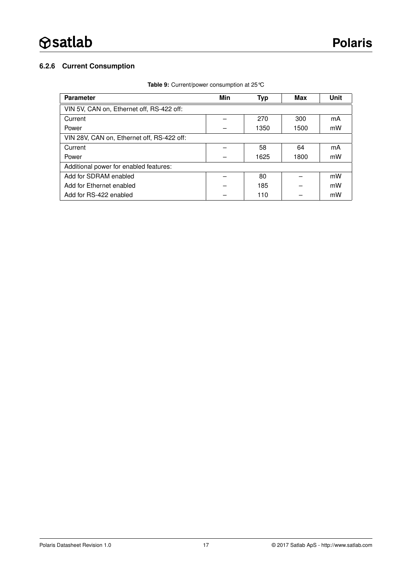### <span id="page-16-0"></span>**6.2.6 Current Consumption**

| <b>Parameter</b>                           | Min | Typ  | Max  | Unit |  |
|--------------------------------------------|-----|------|------|------|--|
| VIN 5V, CAN on, Ethernet off, RS-422 off:  |     |      |      |      |  |
| Current                                    |     | 270  | 300  | mA   |  |
| Power                                      |     | 1350 | 1500 | mW   |  |
| VIN 28V. CAN on. Ethernet off. RS-422 off. |     |      |      |      |  |
| Current                                    |     | 58   | 64   | mA   |  |
| Power                                      |     | 1625 | 1800 | mW   |  |
| Additional power for enabled features:     |     |      |      |      |  |
| Add for SDRAM enabled                      |     | 80   |      | mW   |  |
| Add for Ethernet enabled                   |     | 185  |      | mW   |  |
| Add for RS-422 enabled                     |     | 110  |      | mW   |  |

#### **Table 9:** Current/power consumption at 25°C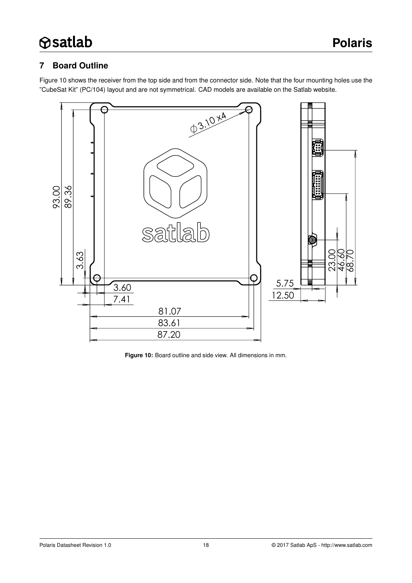# <span id="page-17-1"></span>**7 Board Outline**

Figure [10](#page-17-0) shows the receiver from the top side and from the connector side. Note that the four mounting holes use the "CubeSat Kit" (PC/104) layout and are not symmetrical. CAD models are available on the Satlab website.



<span id="page-17-0"></span>**Figure 10:** Board outline and side view. All dimensions in mm.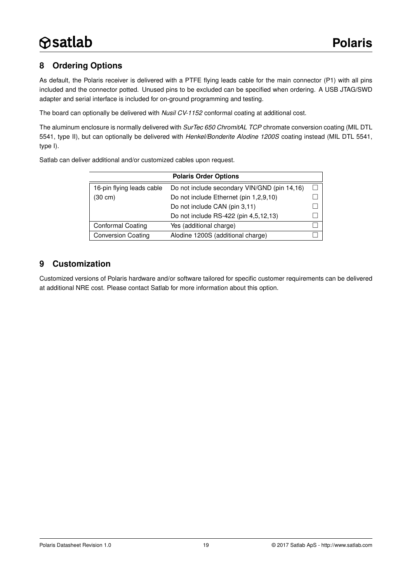# <span id="page-18-0"></span>**8 Ordering Options**

As default, the Polaris receiver is delivered with a PTFE flying leads cable for the main connector (P1) with all pins included and the connector potted. Unused pins to be excluded can be specified when ordering. A USB JTAG/SWD adapter and serial interface is included for on-ground programming and testing.

The board can optionally be delivered with *Nusil CV-1152* conformal coating at additional cost.

The aluminum enclosure is normally delivered with *SurTec 650 ChromitAL TCP* chromate conversion coating (MIL DTL 5541, type II), but can optionally be delivered with *Henkel/Bonderite Alodine 1200S* coating instead (MIL DTL 5541, type I).

Satlab can deliver additional and/or customized cables upon request.

| <b>Polaris Order Options</b> |                                              |  |  |
|------------------------------|----------------------------------------------|--|--|
| 16-pin flying leads cable    | Do not include secondary VIN/GND (pin 14,16) |  |  |
| $(30 \text{ cm})$            | Do not include Ethernet (pin 1,2,9,10)       |  |  |
|                              | Do not include CAN (pin 3,11)                |  |  |
|                              | Do not include RS-422 (pin 4,5,12,13)        |  |  |
| <b>Conformal Coating</b>     | Yes (additional charge)                      |  |  |
| <b>Conversion Coating</b>    | Alodine 1200S (additional charge)            |  |  |

### <span id="page-18-1"></span>**9 Customization**

Customized versions of Polaris hardware and/or software tailored for specific customer requirements can be delivered at additional NRE cost. Please contact Satlab for more information about this option.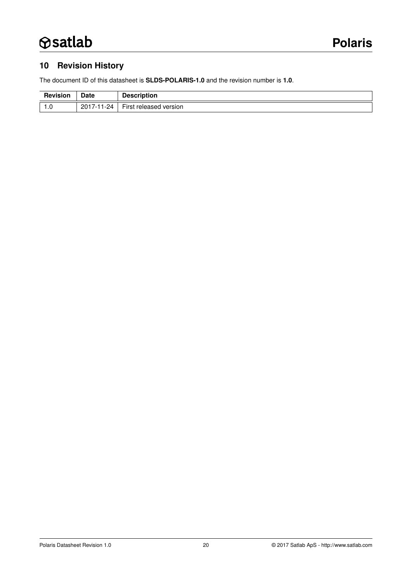# <span id="page-19-0"></span>**10 Revision History**

The document ID of this datasheet is **SLDS-POLARIS-1.0** and the revision number is **1.0**.

| <b>Revision</b> | Date            | <b>Description</b>                     |
|-----------------|-----------------|----------------------------------------|
| 1. U            | $2017 -$<br>-24 | $- \cdot$<br>⊢ırst<br>released version |